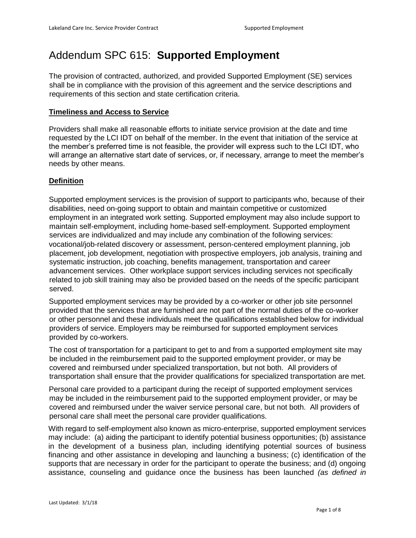# Addendum SPC 615: **Supported Employment**

The provision of contracted, authorized, and provided Supported Employment (SE) services shall be in compliance with the provision of this agreement and the service descriptions and requirements of this section and state certification criteria.

## **Timeliness and Access to Service**

Providers shall make all reasonable efforts to initiate service provision at the date and time requested by the LCI IDT on behalf of the member. In the event that initiation of the service at the member's preferred time is not feasible, the provider will express such to the LCI IDT, who will arrange an alternative start date of services, or, if necessary, arrange to meet the member's needs by other means.

## **Definition**

Supported employment services is the provision of support to participants who, because of their disabilities, need on-going support to obtain and maintain competitive or customized employment in an integrated work setting. Supported employment may also include support to maintain self-employment, including home-based self-employment. Supported employment services are individualized and may include any combination of the following services: vocational/job-related discovery or assessment, person-centered employment planning, job placement, job development, negotiation with prospective employers, job analysis, training and systematic instruction, job coaching, benefits management, transportation and career advancement services. Other workplace support services including services not specifically related to job skill training may also be provided based on the needs of the specific participant served.

Supported employment services may be provided by a co-worker or other job site personnel provided that the services that are furnished are not part of the normal duties of the co-worker or other personnel and these individuals meet the qualifications established below for individual providers of service. Employers may be reimbursed for supported employment services provided by co-workers.

The cost of transportation for a participant to get to and from a supported employment site may be included in the reimbursement paid to the supported employment provider, or may be covered and reimbursed under specialized transportation, but not both. All providers of transportation shall ensure that the provider qualifications for specialized transportation are met.

Personal care provided to a participant during the receipt of supported employment services may be included in the reimbursement paid to the supported employment provider, or may be covered and reimbursed under the waiver service personal care, but not both. All providers of personal care shall meet the personal care provider qualifications.

With regard to self-employment also known as micro-enterprise, supported employment services may include: (a) aiding the participant to identify potential business opportunities; (b) assistance in the development of a business plan, including identifying potential sources of business financing and other assistance in developing and launching a business; (c) identification of the supports that are necessary in order for the participant to operate the business; and (d) ongoing assistance, counseling and guidance once the business has been launched *(as defined in*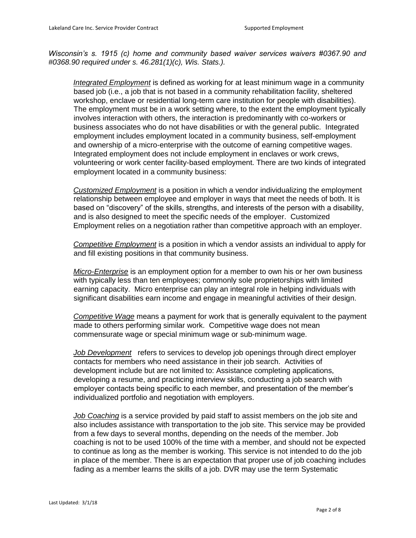*Wisconsin's s. 1915 (c) home and community based waiver services waivers #0367.90 and #0368.90 required under s. 46.281(1)(c), Wis. Stats.).* 

*Integrated Employment* is defined as working for at least minimum wage in a community based job (i.e., a job that is not based in a community rehabilitation facility, sheltered workshop, enclave or residential long-term care institution for people with disabilities). The employment must be in a work setting where, to the extent the employment typically involves interaction with others, the interaction is predominantly with co-workers or business associates who do not have disabilities or with the general public. Integrated employment includes employment located in a community business, self-employment and ownership of a micro-enterprise with the outcome of earning competitive wages. Integrated employment does not include employment in enclaves or work crews, volunteering or work center facility-based employment. There are two kinds of integrated employment located in a community business:

*Customized Employment* is a position in which a vendor individualizing the employment relationship between employee and employer in ways that meet the needs of both. It is based on "discovery" of the skills, strengths, and interests of the person with a disability, and is also designed to meet the specific needs of the employer. Customized Employment relies on a negotiation rather than competitive approach with an employer.

*Competitive Employment* is a position in which a vendor assists an individual to apply for and fill existing positions in that community business.

*Micro-Enterprise* is an employment option for a member to own his or her own business with typically less than ten employees; commonly sole proprietorships with limited earning capacity. Micro enterprise can play an integral role in helping individuals with significant disabilities earn income and engage in meaningful activities of their design.

*Competitive Wage* means a payment for work that is generally equivalent to the payment made to others performing similar work. Competitive wage does not mean commensurate wage or special minimum wage or sub-minimum wage.

*Job Development* refers to services to develop job openings through direct employer contacts for members who need assistance in their job search. Activities of development include but are not limited to: Assistance completing applications, developing a resume, and practicing interview skills, conducting a job search with employer contacts being specific to each member, and presentation of the member's individualized portfolio and negotiation with employers.

*Job Coaching* is a service provided by paid staff to assist members on the job site and also includes assistance with transportation to the job site. This service may be provided from a few days to several months, depending on the needs of the member. Job coaching is not to be used 100% of the time with a member, and should not be expected to continue as long as the member is working. This service is not intended to do the job in place of the member. There is an expectation that proper use of job coaching includes fading as a member learns the skills of a job. DVR may use the term Systematic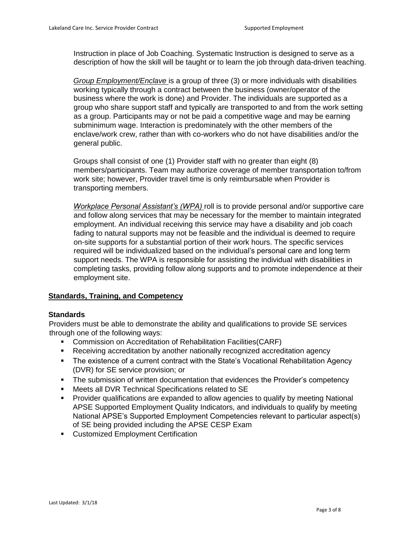Instruction in place of Job Coaching. Systematic Instruction is designed to serve as a description of how the skill will be taught or to learn the job through data-driven teaching.

*Group Employment/Enclave* is a group of three (3) or more individuals with disabilities working typically through a contract between the business (owner/operator of the business where the work is done) and Provider. The individuals are supported as a group who share support staff and typically are transported to and from the work setting as a group. Participants may or not be paid a competitive wage and may be earning subminimum wage. Interaction is predominately with the other members of the enclave/work crew, rather than with co-workers who do not have disabilities and/or the general public.

Groups shall consist of one (1) Provider staff with no greater than eight (8) members/participants. Team may authorize coverage of member transportation to/from work site; however, Provider travel time is only reimbursable when Provider is transporting members.

*Workplace Personal Assistant's (WPA)* roll is to provide personal and/or supportive care and follow along services that may be necessary for the member to maintain integrated employment. An individual receiving this service may have a disability and job coach fading to natural supports may not be feasible and the individual is deemed to require on-site supports for a substantial portion of their work hours. The specific services required will be individualized based on the individual's personal care and long term support needs. The WPA is responsible for assisting the individual with disabilities in completing tasks, providing follow along supports and to promote independence at their employment site.

## **Standards, Training, and Competency**

#### **Standards**

Providers must be able to demonstrate the ability and qualifications to provide SE services through one of the following ways:

- Commission on Accreditation of Rehabilitation Facilities(CARF)
- Receiving accreditation by another nationally recognized accreditation agency
- The existence of a current contract with the State's Vocational Rehabilitation Agency (DVR) for SE service provision; or
- The submission of written documentation that evidences the Provider's competency
- Meets all DVR Technical Specifications related to SE
- Provider qualifications are expanded to allow agencies to qualify by meeting National APSE Supported Employment Quality Indicators, and individuals to qualify by meeting National APSE's Supported Employment Competencies relevant to particular aspect(s) of SE being provided including the APSE CESP Exam
- **•** Customized Employment Certification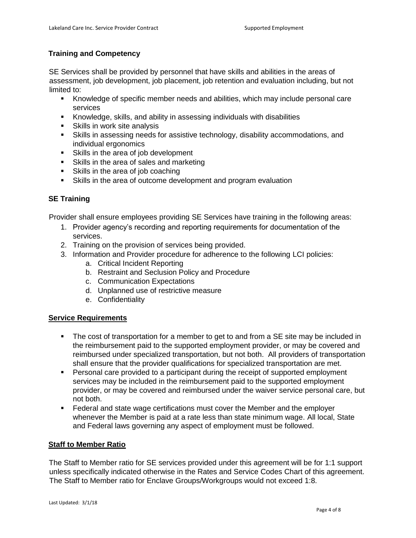# **Training and Competency**

SE Services shall be provided by personnel that have skills and abilities in the areas of assessment, job development, job placement, job retention and evaluation including, but not limited to:

- Knowledge of specific member needs and abilities, which may include personal care services
- Knowledge, skills, and ability in assessing individuals with disabilities
- Skills in work site analysis
- Skills in assessing needs for assistive technology, disability accommodations, and individual ergonomics
- **Skills in the area of job development**
- Skills in the area of sales and marketing
- Skills in the area of job coaching
- Skills in the area of outcome development and program evaluation

# **SE Training**

Provider shall ensure employees providing SE Services have training in the following areas:

- 1. Provider agency's recording and reporting requirements for documentation of the services.
- 2. Training on the provision of services being provided.
- 3. Information and Provider procedure for adherence to the following LCI policies:
	- a. Critical Incident Reporting
	- b. Restraint and Seclusion Policy and Procedure
	- c. Communication Expectations
	- d. Unplanned use of restrictive measure
	- e. Confidentiality

## **Service Requirements**

- The cost of transportation for a member to get to and from a SE site may be included in the reimbursement paid to the supported employment provider, or may be covered and reimbursed under specialized transportation, but not both. All providers of transportation shall ensure that the provider qualifications for specialized transportation are met.
- Personal care provided to a participant during the receipt of supported employment services may be included in the reimbursement paid to the supported employment provider, or may be covered and reimbursed under the waiver service personal care, but not both.
- Federal and state wage certifications must cover the Member and the employer whenever the Member is paid at a rate less than state minimum wage. All local, State and Federal laws governing any aspect of employment must be followed.

## **Staff to Member Ratio**

The Staff to Member ratio for SE services provided under this agreement will be for 1:1 support unless specifically indicated otherwise in the Rates and Service Codes Chart of this agreement. The Staff to Member ratio for Enclave Groups/Workgroups would not exceed 1:8.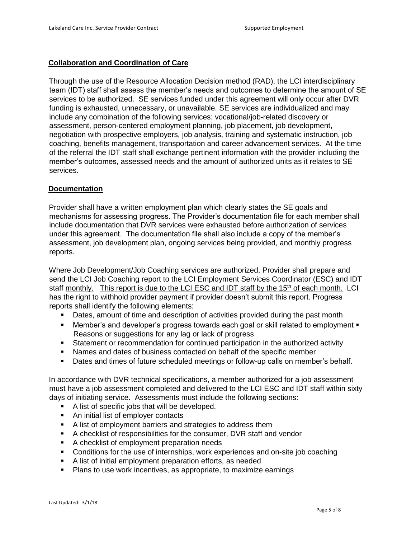#### **Collaboration and Coordination of Care**

Through the use of the Resource Allocation Decision method (RAD), the LCI interdisciplinary team (IDT) staff shall assess the member's needs and outcomes to determine the amount of SE services to be authorized. SE services funded under this agreement will only occur after DVR funding is exhausted, unnecessary, or unavailable. SE services are individualized and may include any combination of the following services: vocational/job-related discovery or assessment, person-centered employment planning, job placement, job development, negotiation with prospective employers, job analysis, training and systematic instruction, job coaching, benefits management, transportation and career advancement services. At the time of the referral the IDT staff shall exchange pertinent information with the provider including the member's outcomes, assessed needs and the amount of authorized units as it relates to SE services.

#### **Documentation**

Provider shall have a written employment plan which clearly states the SE goals and mechanisms for assessing progress. The Provider's documentation file for each member shall include documentation that DVR services were exhausted before authorization of services under this agreement. The documentation file shall also include a copy of the member's assessment, job development plan, ongoing services being provided, and monthly progress reports.

Where Job Development/Job Coaching services are authorized, Provider shall prepare and send the LCI Job Coaching report to the LCI Employment Services Coordinator (ESC) and IDT staff monthly. This report is due to the LCI ESC and IDT staff by the 15<sup>th</sup> of each month. LCI has the right to withhold provider payment if provider doesn't submit this report. Progress reports shall identify the following elements:

- Dates, amount of time and description of activities provided during the past month
- Member's and developer's progress towards each goal or skill related to employment Reasons or suggestions for any lag or lack of progress
- Statement or recommendation for continued participation in the authorized activity
- Names and dates of business contacted on behalf of the specific member
- Dates and times of future scheduled meetings or follow-up calls on member's behalf.

In accordance with DVR technical specifications, a member authorized for a job assessment must have a job assessment completed and delivered to the LCI ESC and IDT staff within sixty days of initiating service. Assessments must include the following sections:

- A list of specific jobs that will be developed.
- An initial list of employer contacts
- A list of employment barriers and strategies to address them
- A checklist of responsibilities for the consumer, DVR staff and vendor
- A checklist of employment preparation needs
- Conditions for the use of internships, work experiences and on-site job coaching
- A list of initial employment preparation efforts, as needed
- **Plans to use work incentives, as appropriate, to maximize earnings**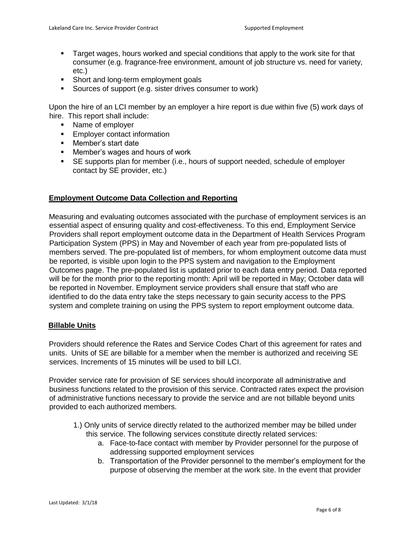- Target wages, hours worked and special conditions that apply to the work site for that consumer (e.g. fragrance-free environment, amount of job structure vs. need for variety, etc.)
- **Short and long-term employment goals**
- Sources of support (e.g. sister drives consumer to work)

Upon the hire of an LCI member by an employer a hire report is due within five (5) work days of hire. This report shall include:

- Name of employer
- **Employer contact information**
- **Member's start date**
- **EXECT** Member's wages and hours of work
- SE supports plan for member (i.e., hours of support needed, schedule of employer contact by SE provider, etc.)

## **Employment Outcome Data Collection and Reporting**

Measuring and evaluating outcomes associated with the purchase of employment services is an essential aspect of ensuring quality and cost-effectiveness. To this end, Employment Service Providers shall report employment outcome data in the Department of Health Services Program Participation System (PPS) in May and November of each year from pre-populated lists of members served. The pre-populated list of members, for whom employment outcome data must be reported, is visible upon login to the PPS system and navigation to the Employment Outcomes page. The pre-populated list is updated prior to each data entry period. Data reported will be for the month prior to the reporting month: April will be reported in May; October data will be reported in November. Employment service providers shall ensure that staff who are identified to do the data entry take the steps necessary to gain security access to the PPS system and complete training on using the PPS system to report employment outcome data.

## **Billable Units**

Providers should reference the Rates and Service Codes Chart of this agreement for rates and units. Units of SE are billable for a member when the member is authorized and receiving SE services. Increments of 15 minutes will be used to bill LCI.

Provider service rate for provision of SE services should incorporate all administrative and business functions related to the provision of this service. Contracted rates expect the provision of administrative functions necessary to provide the service and are not billable beyond units provided to each authorized members.

- 1.) Only units of service directly related to the authorized member may be billed under this service. The following services constitute directly related services:
	- a. Face-to-face contact with member by Provider personnel for the purpose of addressing supported employment services
	- b. Transportation of the Provider personnel to the member's employment for the purpose of observing the member at the work site. In the event that provider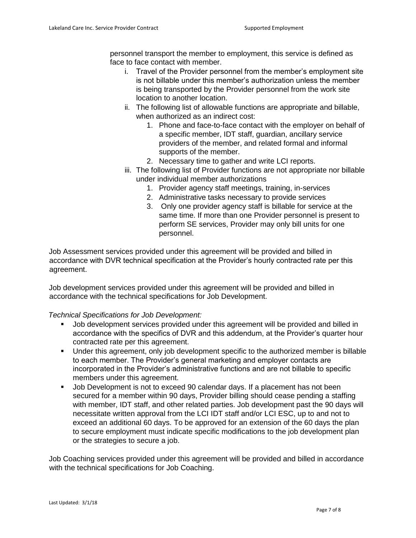personnel transport the member to employment, this service is defined as face to face contact with member.

- i. Travel of the Provider personnel from the member's employment site is not billable under this member's authorization unless the member is being transported by the Provider personnel from the work site location to another location.
- ii. The following list of allowable functions are appropriate and billable, when authorized as an indirect cost:
	- 1. Phone and face-to-face contact with the employer on behalf of a specific member, IDT staff, guardian, ancillary service providers of the member, and related formal and informal supports of the member.
	- 2. Necessary time to gather and write LCI reports.
- iii. The following list of Provider functions are not appropriate nor billable under individual member authorizations
	- 1. Provider agency staff meetings, training, in-services
	- 2. Administrative tasks necessary to provide services
	- 3. Only one provider agency staff is billable for service at the same time. If more than one Provider personnel is present to perform SE services, Provider may only bill units for one personnel.

Job Assessment services provided under this agreement will be provided and billed in accordance with DVR technical specification at the Provider's hourly contracted rate per this agreement.

Job development services provided under this agreement will be provided and billed in accordance with the technical specifications for Job Development.

#### *Technical Specifications for Job Development:*

- Job development services provided under this agreement will be provided and billed in accordance with the specifics of DVR and this addendum, at the Provider's quarter hour contracted rate per this agreement.
- Under this agreement, only job development specific to the authorized member is billable to each member. The Provider's general marketing and employer contacts are incorporated in the Provider's administrative functions and are not billable to specific members under this agreement.
- Job Development is not to exceed 90 calendar days. If a placement has not been secured for a member within 90 days, Provider billing should cease pending a staffing with member, IDT staff, and other related parties. Job development past the 90 days will necessitate written approval from the LCI IDT staff and/or LCI ESC, up to and not to exceed an additional 60 days. To be approved for an extension of the 60 days the plan to secure employment must indicate specific modifications to the job development plan or the strategies to secure a job.

Job Coaching services provided under this agreement will be provided and billed in accordance with the technical specifications for Job Coaching.